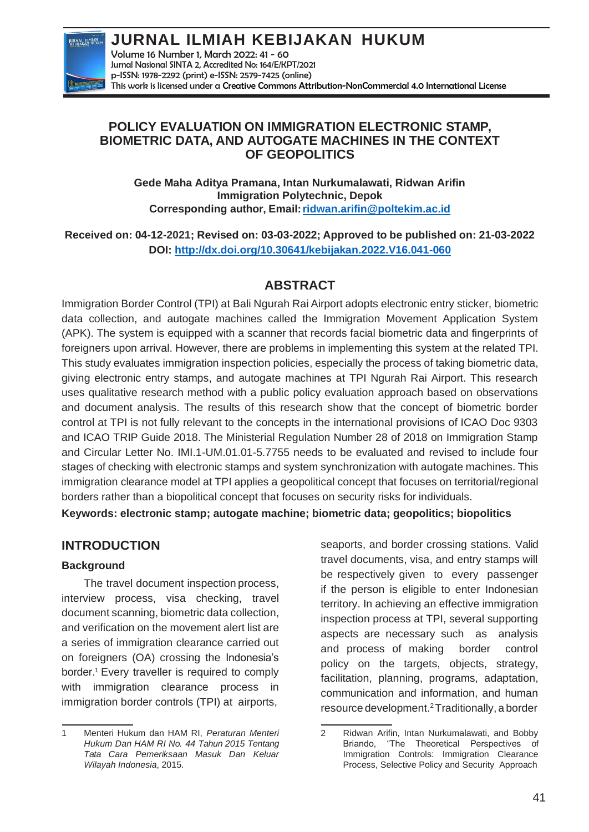

**JURNAL ILMIAH KEBIJAKAN HUKUM** Volume 16 Number 1, March 2022: 41 - 60 Jurnal Nasional SINTA 2, Accredited No: 164/E/KPT/2021 p-ISSN: 1978-2292 (print) e-ISSN: 2579-7425 (online) This work is licensed under a [Creative Commons Attribution-NonCommercial 4.0 International License](https://creativecommons.org/licenses/by-nc/4.0/)

## **POLICY EVALUATION ON IMMIGRATION ELECTRONIC STAMP, BIOMETRIC DATA, AND AUTOGATE MACHINES IN THE CONTEXT OF GEOPOLITICS**

**Gede Maha Aditya Pramana, Intan Nurkumalawati, Ridwan Arifin Immigration Polytechnic, Depok Corresponding author, Email[:ridwan.arifin@poltekim.ac.id](mailto:ridwan.arifin@poltekim.ac.id)**

**Received on: 04-12-2021; Revised on: 03-03-2022; Approved to be published on: 21-03-2022 DOI:<http://dx.doi.org/10.30641/kebijakan.2022.V16.041-060>**

## **ABSTRACT**

Immigration Border Control (TPI) at Bali Ngurah Rai Airport adopts electronic entry sticker, biometric data collection, and autogate machines called the Immigration Movement Application System (APK). The system is equipped with a scanner that records facial biometric data and fingerprints of foreigners upon arrival. However, there are problems in implementing this system at the related TPI. This study evaluates immigration inspection policies, especially the process of taking biometric data, giving electronic entry stamps, and autogate machines at TPI Ngurah Rai Airport. This research uses qualitative research method with a public policy evaluation approach based on observations and document analysis. The results of this research show that the concept of biometric border control at TPI is not fully relevant to the concepts in the international provisions of ICAO Doc 9303 and ICAO TRIP Guide 2018. The Ministerial Regulation Number 28 of 2018 on Immigration Stamp and Circular Letter No. IMI.1-UM.01.01-5.7755 needs to be evaluated and revised to include four stages of checking with electronic stamps and system synchronization with autogate machines. This immigration clearance model at TPI applies a geopolitical concept that focuses on territorial/regional borders rather than a biopolitical concept that focuses on security risks for individuals.

**Keywords: electronic stamp; autogate machine; biometric data; geopolitics; biopolitics**

## **INTRODUCTION**

### **Background**

The travel document inspection process, interview process, visa checking, travel document scanning, biometric data collection, and verification on the movement alert list are a series of immigration clearance carried out on foreigners (OA) crossing the Indonesia's border.<sup>1</sup> Every traveller is required to comply with immigration clearance process in immigration border controls (TPI) at airports,

seaports, and border crossing stations. Valid travel documents, visa, and entry stamps will be respectively given to every passenger if the person is eligible to enter Indonesian territory. In achieving an effective immigration inspection process at TPI, several supporting aspects are necessary such as analysis and process of making border control policy on the targets, objects, strategy, facilitation, planning, programs, adaptation, communication and information, and human resource development.<sup>2</sup>Traditionally, a border

<sup>1</sup> Menteri Hukum dan HAM RI, *Peraturan Menteri Hukum Dan HAM RI No. 44 Tahun 2015 Tentang Tata Cara Pemeriksaan Masuk Dan Keluar Wilayah Indonesia*, 2015.

<sup>2</sup> Ridwan Arifin, Intan Nurkumalawati, and Bobby Briando, "The Theoretical Perspectives of Immigration Controls: Immigration Clearance Process, Selective Policy and Security Approach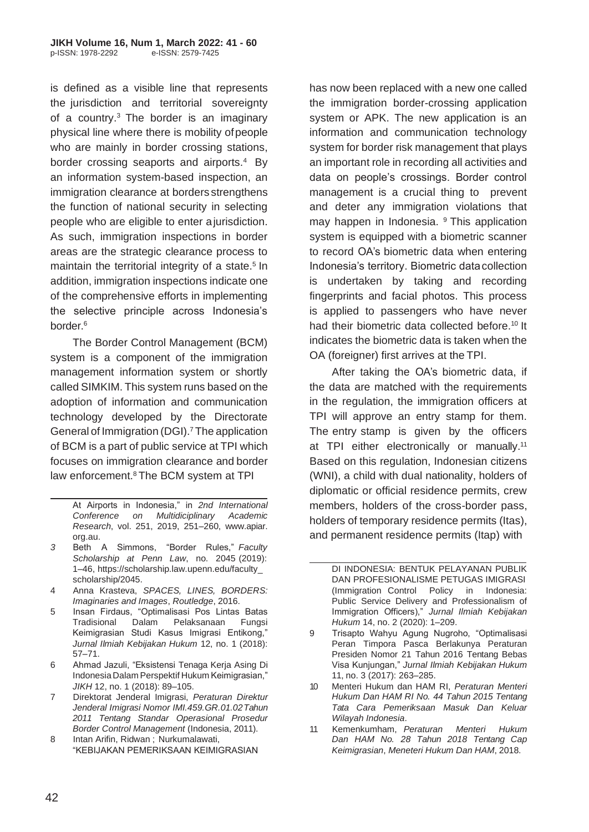is defined as a visible line that represents the jurisdiction and territorial sovereignty of a country. $3$  The border is an imaginary physical line where there is mobility ofpeople who are mainly in border crossing stations, border crossing seaports and airports.<sup>4</sup> By an information system-based inspection, an immigration clearance at borders strengthens the function of national security in selecting people who are eligible to enter ajurisdiction. As such, immigration inspections in border areas are the strategic clearance process to maintain the territorial integrity of a state.<sup>5</sup> In addition, immigration inspections indicate one of the comprehensive efforts in implementing the selective principle across Indonesia's border.<sup>6</sup>

The Border Control Management (BCM) system is a component of the immigration management information system or shortly called SIMKIM. This system runs based on the adoption of information and communication technology developed by the Directorate General of Immigration (DGI).<sup>7</sup> The application of BCM is a part of public service at TPI which focuses on immigration clearance and border law enforcement.<sup>8</sup> The BCM system at TPI

At Airports in Indonesia," in *2nd International Conference on Multidiciplinary Academic Research*, vol. 251, 2019, 251–260, www.apiar. org.au.

- *3* Beth A Simmons, "Border Rules," *Faculty Scholarship at Penn Law*, no. 2045 (2019): 1–46, https://scholarship.law.upenn.edu/faculty\_ scholarship/2045.
- 4 Anna Krasteva, *SPACES, LINES, BORDERS: Imaginaries and Images*, *Routledge*, 2016.
- 5 Insan Firdaus, "Optimalisasi Pos Lintas Batas Tradisional Dalam Pelaksanaan Fungsi Keimigrasian Studi Kasus Imigrasi Entikong," *Jurnal Ilmiah Kebijakan Hukum* 12, no. 1 (2018): 57–71.
- 6 Ahmad Jazuli, "Eksistensi Tenaga Kerja Asing Di Indonesia Dalam Perspektif Hukum Keimigrasian," *JIKH* 12, no. 1 (2018): 89–105.
- 7 Direktorat Jenderal Imigrasi, *Peraturan Direktur Jenderal Imigrasi Nomor IMI.459.GR.01.02Tahun 2011 Tentang Standar Operasional Prosedur Border Control Management* (Indonesia, 2011).
- 8 Intan Arifin, Ridwan ; Nurkumalawati, "KEBIJAKAN PEMERIKSAAN KEIMIGRASIAN

has now been replaced with a new one called the immigration border-crossing application system or APK. The new application is an information and communication technology system for border risk management that plays an important role in recording all activities and data on people's crossings. Border control management is a crucial thing to prevent and deter any immigration violations that may happen in Indonesia. <sup>9</sup> This application system is equipped with a biometric scanner to record OA's biometric data when entering Indonesia's territory. Biometric datacollection is undertaken by taking and recording fingerprints and facial photos. This process is applied to passengers who have never had their biometric data collected before.<sup>10</sup> It indicates the biometric data is taken when the OA (foreigner) first arrives at the TPI.

After taking the OA's biometric data, if the data are matched with the requirements in the regulation, the immigration officers at TPI will approve an entry stamp for them. The entry stamp is given by the officers at TPI either electronically or manually.<sup>11</sup> Based on this regulation, Indonesian citizens (WNI), a child with dual nationality, holders of diplomatic or official residence permits, crew members, holders of the cross-border pass, holders of temporary residence permits (Itas), and permanent residence permits (Itap) with

- 9 Trisapto Wahyu Agung Nugroho, "Optimalisasi Peran Timpora Pasca Berlakunya Peraturan Presiden Nomor 21 Tahun 2016 Tentang Bebas Visa Kunjungan," *Jurnal Ilmiah Kebijakan Hukum*  11, no. 3 (2017): 263–285.
- 10 Menteri Hukum dan HAM RI, *Peraturan Menteri Hukum Dan HAM RI No. 44 Tahun 2015 Tentang Tata Cara Pemeriksaan Masuk Dan Keluar Wilayah Indonesia*.
- 11 Kemenkumham, *Peraturan Menteri Hukum Dan HAM No. 28 Tahun 2018 Tentang Cap Keimigrasian*, *Meneteri Hukum Dan HAM*, 2018.

DI INDONESIA: BENTUK PELAYANAN PUBLIK DAN PROFESIONALISME PETUGAS IMIGRASI (Immigration Control Policy in Indonesia: Public Service Delivery and Professionalism of Immigration Officers)," *Jurnal Ilmiah Kebijakan Hukum* 14, no. 2 (2020): 1–209.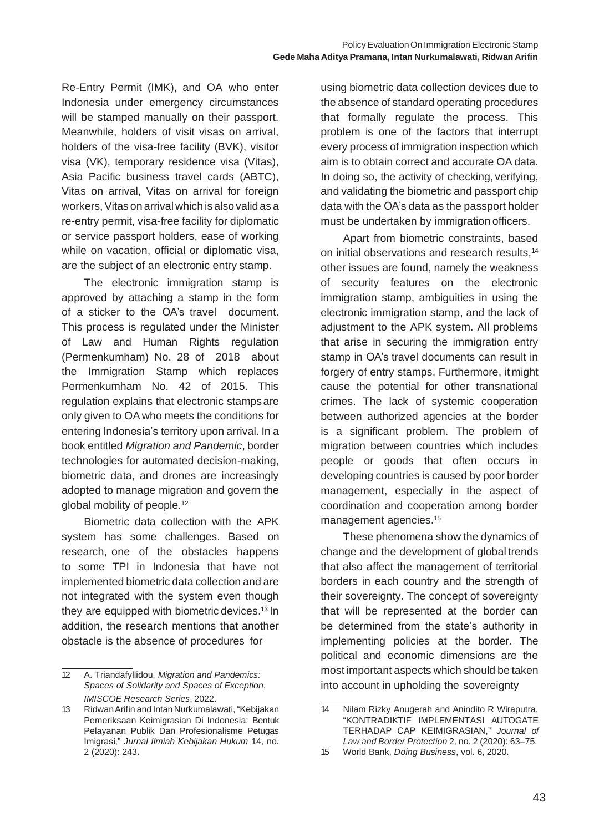Re-Entry Permit (IMK), and OA who enter Indonesia under emergency circumstances will be stamped manually on their passport. Meanwhile, holders of visit visas on arrival, holders of the visa-free facility (BVK), visitor visa (VK), temporary residence visa (Vitas), Asia Pacific business travel cards (ABTC), Vitas on arrival, Vitas on arrival for foreign workers, Vitas on arrival which is also valid as a re-entry permit, visa-free facility for diplomatic or service passport holders, ease of working while on vacation, official or diplomatic visa, are the subject of an electronic entry stamp.

The electronic immigration stamp is approved by attaching a stamp in the form of a sticker to the OA's travel document. This process is regulated under the Minister of Law and Human Rights regulation (Permenkumham) No. 28 of 2018 about the Immigration Stamp which replaces Permenkumham No. 42 of 2015. This regulation explains that electronic stampsare only given to OA who meets the conditions for entering Indonesia's territory upon arrival. In a book entitled *Migration and Pandemic*, border technologies for automated decision-making, biometric data, and drones are increasingly adopted to manage migration and govern the global mobility of people.<sup>12</sup>

Biometric data collection with the APK system has some challenges. Based on research, one of the obstacles happens to some TPI in Indonesia that have not implemented biometric data collection and are not integrated with the system even though they are equipped with biometric devices.<sup>13</sup> In addition, the research mentions that another obstacle is the absence of procedures for

using biometric data collection devices due to the absence of standard operating procedures that formally regulate the process. This problem is one of the factors that interrupt every process of immigration inspection which aim is to obtain correct and accurate OA data. In doing so, the activity of checking, verifying, and validating the biometric and passport chip data with the OA's data as the passport holder must be undertaken by immigration officers.

Apart from biometric constraints, based on initial observations and research results,<sup>14</sup> other issues are found, namely the weakness of security features on the electronic immigration stamp, ambiguities in using the electronic immigration stamp, and the lack of adjustment to the APK system. All problems that arise in securing the immigration entry stamp in OA's travel documents can result in forgery of entry stamps. Furthermore, it might cause the potential for other transnational crimes. The lack of systemic cooperation between authorized agencies at the border is a significant problem. The problem of migration between countries which includes people or goods that often occurs in developing countries is caused by poor border management, especially in the aspect of coordination and cooperation among border management agencies.<sup>15</sup>

These phenomena show the dynamics of change and the development of global trends that also affect the management of territorial borders in each country and the strength of their sovereignty. The concept of sovereignty that will be represented at the border can be determined from the state's authority in implementing policies at the border. The political and economic dimensions are the most important aspects which should be taken into account in upholding the sovereignty

<sup>12</sup> A. Triandafyllidou, *Migration and Pandemics: Spaces of Solidarity and Spaces of Exception*, *IMISCOE Research Series*, 2022.

<sup>13</sup> RidwanArifin and Intan Nurkumalawati, "Kebijakan Pemeriksaan Keimigrasian Di Indonesia: Bentuk Pelayanan Publik Dan Profesionalisme Petugas Imigrasi," *Jurnal Ilmiah Kebijakan Hukum* 14, no. 2 (2020): 243.

<sup>14</sup> Nilam Rizky Anugerah and Anindito R Wiraputra, "KONTRADIKTIF IMPLEMENTASI AUTOGATE TERHADAP CAP KEIMIGRASIAN," *Journal of Law and Border Protection* 2, no. 2 (2020): 63–75.

<sup>15</sup> World Bank, *Doing Business*, vol. 6, 2020.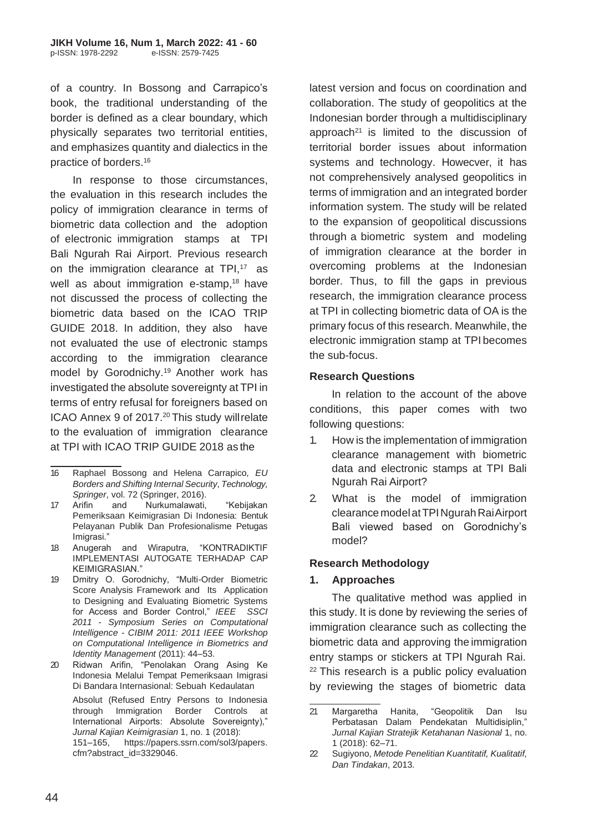of a country. In Bossong and Carrapico's book, the traditional understanding of the border is defined as a clear boundary, which physically separates two territorial entities, and emphasizes quantity and dialectics in the practice of borders.<sup>16</sup>

In response to those circumstances, the evaluation in this research includes the policy of immigration clearance in terms of biometric data collection and the adoption of electronic immigration stamps at TPI Bali Ngurah Rai Airport. Previous research on the immigration clearance at  $TPI$ ,<sup>17</sup> as well as about immigration e-stamp, $18$  have not discussed the process of collecting the biometric data based on the ICAO TRIP GUIDE 2018. In addition, they also have not evaluated the use of electronic stamps according to the immigration clearance model by Gorodnichy.<sup>19</sup> Another work has investigated the absolute sovereignty at TPI in terms of entry refusal for foreigners based on ICAO Annex 9 of 2017.<sup>20</sup> This study will relate to the evaluation of immigration clearance at TPI with ICAO TRIP GUIDE 2018 as the

- 16 Raphael Bossong and Helena Carrapico, *EU Borders and Shifting Internal Security*, *Technology, Springer*, vol. 72 (Springer, 2016).
- 17 Arifin and Nurkumalawati, "Kebijakan Pemeriksaan Keimigrasian Di Indonesia: Bentuk Pelayanan Publik Dan Profesionalisme Petugas Imigrasi."
- 18 Anugerah and Wiraputra, "KONTRADIKTIF IMPLEMENTASI AUTOGATE TERHADAP CAP KEIMIGRASIAN."
- 19 Dmitry O. Gorodnichy, "Multi-Order Biometric Score Analysis Framework and Its Application to Designing and Evaluating Biometric Systems for Access and Border Control," *IEEE SSCI 2011 - Symposium Series on Computational Intelligence - CIBIM 2011: 2011 IEEE Workshop on Computational Intelligence in Biometrics and Identity Management* (2011): 44–53.
- 20 Ridwan Arifin, "Penolakan Orang Asing Ke Indonesia Melalui Tempat Pemeriksaan Imigrasi Di Bandara Internasional: Sebuah Kedaulatan

Absolut (Refused Entry Persons to Indonesia through Immigration Border Controls at International Airports: Absolute Sovereignty)," *Jurnal Kajian Keimigrasian* 1, no. 1 (2018):

151–165, https://papers.ssrn.com/sol3/papers. cfm?abstract\_id=3329046.

latest version and focus on coordination and collaboration. The study of geopolitics at the Indonesian border through a multidisciplinary approach<sup>21</sup> is limited to the discussion of territorial border issues about information systems and technology. Howecver, it has not comprehensively analysed geopolitics in terms of immigration and an integrated border information system. The study will be related to the expansion of geopolitical discussions through a biometric system and modeling of immigration clearance at the border in overcoming problems at the Indonesian border. Thus, to fill the gaps in previous research, the immigration clearance process at TPI in collecting biometric data of OA is the primary focus of this research. Meanwhile, the electronic immigration stamp at TPI becomes the sub-focus.

### **Research Questions**

In relation to the account of the above conditions, this paper comes with two following questions:

- 1. How is the implementation of immigration clearance management with biometric data and electronic stamps at TPI Bali Ngurah Rai Airport?
- 2. What is the model of immigration clearance model at TPI Ngurah Rai Airport Bali viewed based on Gorodnichy's model?

#### **Research Methodology**

#### **1. Approaches**

The qualitative method was applied in this study. It is done by reviewing the series of immigration clearance such as collecting the biometric data and approving the immigration entry stamps or stickers at TPI Ngurah Rai. <sup>22</sup> This research is a public policy evaluation by reviewing the stages of biometric data

<sup>21</sup> Margaretha Hanita, "Geopolitik Dan Isu Perbatasan Dalam Pendekatan Multidisiplin," *Jurnal Kajian Stratejik Ketahanan Nasional* 1, no. 1 (2018): 62–71.

<sup>22</sup> Sugiyono, *Metode Penelitian Kuantitatif, Kualitatif, Dan Tindakan*, 2013.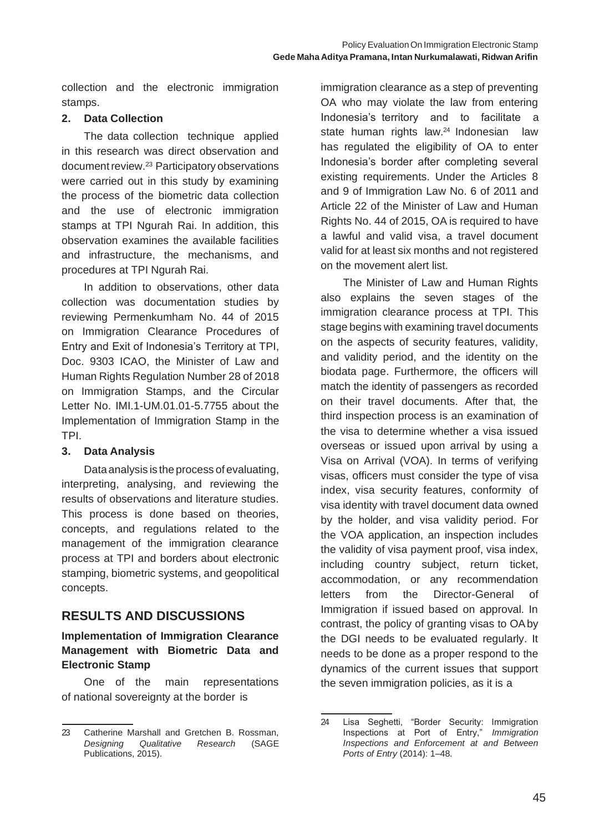collection and the electronic immigration stamps.

### **2. Data Collection**

The data collection technique applied in this research was direct observation and document review.<sup>23</sup> Participatory observations were carried out in this study by examining the process of the biometric data collection and the use of electronic immigration stamps at TPI Ngurah Rai. In addition, this observation examines the available facilities and infrastructure, the mechanisms, and procedures at TPI Ngurah Rai.

In addition to observations, other data collection was documentation studies by reviewing Permenkumham No. 44 of 2015 on Immigration Clearance Procedures of Entry and Exit of Indonesia's Territory at TPI, Doc. 9303 ICAO, the Minister of Law and Human Rights Regulation Number 28 of 2018 on Immigration Stamps, and the Circular Letter No. IMI.1-UM.01.01-5.7755 about the Implementation of Immigration Stamp in the TPI.

### **3. Data Analysis**

Dataanalysis is the process of evaluating, interpreting, analysing, and reviewing the results of observations and literature studies. This process is done based on theories, concepts, and regulations related to the management of the immigration clearance process at TPI and borders about electronic stamping, biometric systems, and geopolitical concepts.

# **RESULTS AND DISCUSSIONS**

### **Implementation of Immigration Clearance Management with Biometric Data and Electronic Stamp**

One of the main representations of national sovereignty at the border is

immigration clearance as a step of preventing OA who may violate the law from entering Indonesia's territory and to facilitate a state human rights law.<sup>24</sup> Indonesian law has regulated the eligibility of OA to enter Indonesia's border after completing several existing requirements. Under the Articles 8 and 9 of Immigration Law No. 6 of 2011 and Article 22 of the Minister of Law and Human Rights No. 44 of 2015, OA is required to have a lawful and valid visa, a travel document valid for at least six months and not registered on the movement alert list.

The Minister of Law and Human Rights also explains the seven stages of the immigration clearance process at TPI. This stage begins with examining travel documents on the aspects of security features, validity, and validity period, and the identity on the biodata page. Furthermore, the officers will match the identity of passengers as recorded on their travel documents. After that, the third inspection process is an examination of the visa to determine whether a visa issued overseas or issued upon arrival by using a Visa on Arrival (VOA). In terms of verifying visas, officers must consider the type of visa index, visa security features, conformity of visa identity with travel document data owned by the holder, and visa validity period. For the VOA application, an inspection includes the validity of visa payment proof, visa index, including country subject, return ticket, accommodation, or any recommendation letters from the Director-General of Immigration if issued based on approval. In contrast, the policy of granting visas to OAby the DGI needs to be evaluated regularly. It needs to be done as a proper respond to the dynamics of the current issues that support the seven immigration policies, as it is a

<sup>23</sup> Catherine Marshall and Gretchen B. Rossman, *Designing Qualitative Research* (SAGE Publications, 2015).

<sup>24</sup> Lisa Seghetti, "Border Security: Immigration Inspections at Port of Entry," *Immigration Inspections and Enforcement at and Between Ports of Entry* (2014): 1–48.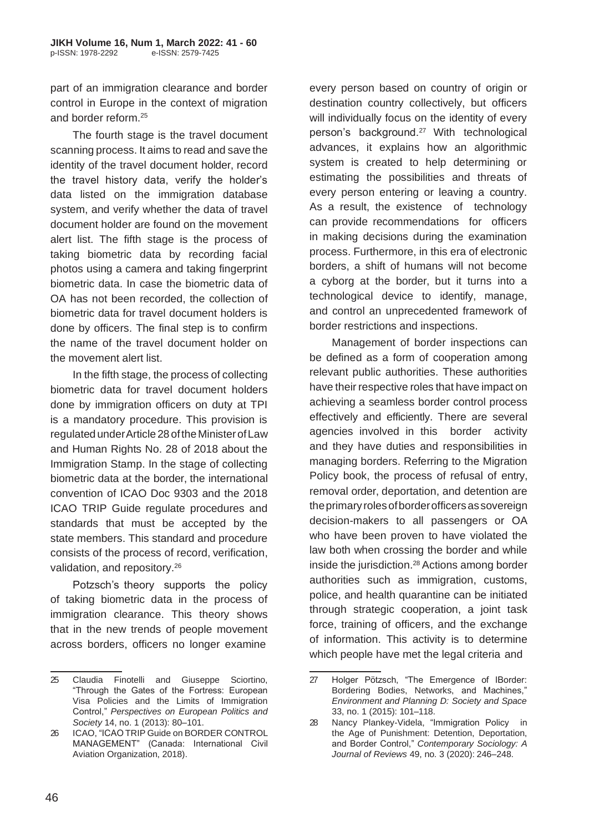part of an immigration clearance and border control in Europe in the context of migration and border reform.<sup>25</sup>

The fourth stage is the travel document scanning process. It aims to read and save the identity of the travel document holder, record the travel history data, verify the holder's data listed on the immigration database system, and verify whether the data of travel document holder are found on the movement alert list. The fifth stage is the process of taking biometric data by recording facial photos using a camera and taking fingerprint biometric data. In case the biometric data of OA has not been recorded, the collection of biometric data for travel document holders is done by officers. The final step is to confirm the name of the travel document holder on the movement alert list.

In the fifth stage, the process of collecting biometric data for travel document holders done by immigration officers on duty at TPI is a mandatory procedure. This provision is regulatedunderArticle28oftheMinisterofLaw and Human Rights No. 28 of 2018 about the Immigration Stamp. In the stage of collecting biometric data at the border, the international convention of ICAO Doc 9303 and the 2018 ICAO TRIP Guide regulate procedures and standards that must be accepted by the state members. This standard and procedure consists of the process of record, verification, validation, and repository.<sup>26</sup>

Potzsch's theory supports the policy of taking biometric data in the process of immigration clearance. This theory shows that in the new trends of people movement across borders, officers no longer examine

every person based on country of origin or destination country collectively, but officers will individually focus on the identity of every person's background.<sup>27</sup> With technological advances, it explains how an algorithmic system is created to help determining or estimating the possibilities and threats of every person entering or leaving a country. As a result, the existence of technology can provide recommendations for officers in making decisions during the examination process. Furthermore, in this era of electronic borders, a shift of humans will not become a cyborg at the border, but it turns into a technological device to identify, manage, and control an unprecedented framework of border restrictions and inspections.

Management of border inspections can be defined as a form of cooperation among relevant public authorities. These authorities have their respective roles that have impact on achieving a seamless border control process effectively and efficiently. There are several agencies involved in this border activity and they have duties and responsibilities in managing borders. Referring to the Migration Policy book, the process of refusal of entry, removal order, deportation, and detention are theprimaryrolesofborderofficersassovereign decision-makers to all passengers or OA who have been proven to have violated the law both when crossing the border and while inside the jurisdiction.<sup>28</sup> Actions among border authorities such as immigration, customs, police, and health quarantine can be initiated through strategic cooperation, a joint task force, training of officers, and the exchange of information. This activity is to determine which people have met the legal criteria and

<sup>25</sup> Claudia Finotelli and Giuseppe Sciortino, "Through the Gates of the Fortress: European Visa Policies and the Limits of Immigration Control," *Perspectives on European Politics and Society* 14, no. 1 (2013): 80–101.

<sup>26</sup> ICAO, "ICAO TRIP Guide on BORDER CONTROL MANAGEMENT" (Canada: International Civil Aviation Organization, 2018).

<sup>27</sup> Holger Pötzsch, "The Emergence of IBorder: Bordering Bodies, Networks, and Machines," *Environment and Planning D: Society and Space*  33, no. 1 (2015): 101–118.

<sup>28</sup> Nancy Plankey-Videla, "Immigration Policy in the Age of Punishment: Detention, Deportation, and Border Control," *Contemporary Sociology: A Journal of Reviews* 49, no. 3 (2020): 246–248.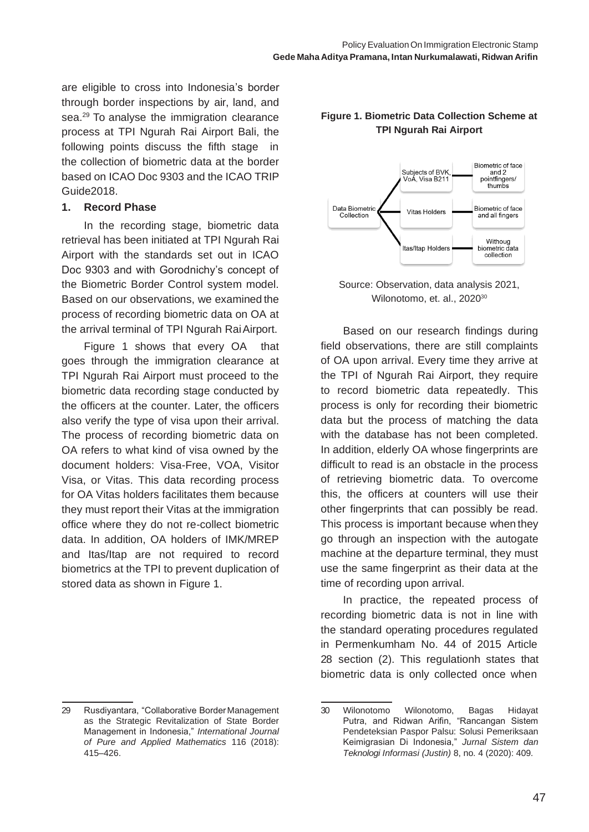are eligible to cross into Indonesia's border through border inspections by air, land, and sea.<sup>29</sup> To analyse the immigration clearance process at TPI Ngurah Rai Airport Bali, the following points discuss the fifth stage in the collection of biometric data at the border based on ICAO Doc 9303 and the ICAO TRIP Guide2018.

#### **1. Record Phase**

In the recording stage, biometric data retrieval has been initiated at TPI Ngurah Rai Airport with the standards set out in ICAO Doc 9303 and with Gorodnichy's concept of the Biometric Border Control system model. Based on our observations, we examined the process of recording biometric data on OA at the arrival terminal of TPI Ngurah RaiAirport.

Figure 1 shows that every OA that goes through the immigration clearance at TPI Ngurah Rai Airport must proceed to the biometric data recording stage conducted by the officers at the counter. Later, the officers also verify the type of visa upon their arrival. The process of recording biometric data on OA refers to what kind of visa owned by the document holders: Visa-Free, VOA, Visitor Visa, or Vitas. This data recording process for OA Vitas holders facilitates them because they must report their Vitas at the immigration office where they do not re-collect biometric data. In addition, OA holders of IMK/MREP and Itas/Itap are not required to record biometrics at the TPI to prevent duplication of stored data as shown in Figure 1.

#### 29 Rusdiyantara, "Collaborative BorderManagement as the Strategic Revitalization of State Border Management in Indonesia," *International Journal of Pure and Applied Mathematics* 116 (2018): 415–426.

#### **Figure 1. Biometric Data Collection Scheme at TPI Ngurah Rai Airport**



Source: Observation, data analysis 2021, Wilonotomo, et. al., 2020<sup>30</sup>

Based on our research findings during field observations, there are still complaints of OA upon arrival. Every time they arrive at the TPI of Ngurah Rai Airport, they require to record biometric data repeatedly. This process is only for recording their biometric data but the process of matching the data with the database has not been completed. In addition, elderly OA whose fingerprints are difficult to read is an obstacle in the process of retrieving biometric data. To overcome this, the officers at counters will use their other fingerprints that can possibly be read. This process is important because when they go through an inspection with the autogate machine at the departure terminal, they must use the same fingerprint as their data at the time of recording upon arrival.

In practice, the repeated process of recording biometric data is not in line with the standard operating procedures regulated in Permenkumham No. 44 of 2015 Article 28 section (2). This regulationh states that biometric data is only collected once when

<sup>30</sup> Wilonotomo Wilonotomo, Bagas Hidayat Putra, and Ridwan Arifin, "Rancangan Sistem Pendeteksian Paspor Palsu: Solusi Pemeriksaan Keimigrasian Di Indonesia," *Jurnal Sistem dan Teknologi Informasi (Justin)* 8, no. 4 (2020): 409.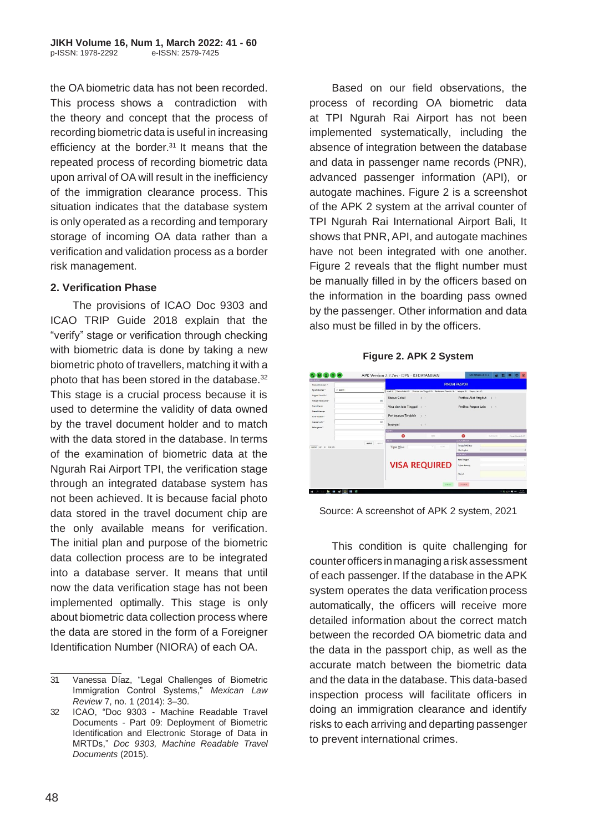the OA biometric data has not been recorded. This process shows a contradiction with the theory and concept that the process of recording biometric data is useful in increasing efficiency at the border. $31$  It means that the repeated process of recording biometric data upon arrival of OA will result in the inefficiency of the immigration clearance process. This situation indicates that the database system is only operated as a recording and temporary storage of incoming OA data rather than a verification and validation process as a border risk management.

#### **2. Verification Phase**

The provisions of ICAO Doc 9303 and ICAO TRIP Guide 2018 explain that the "verify" stage or verification through checking with biometric data is done by taking a new biometric photo of travellers, matching it with a photo that has been stored in the database.<sup>32</sup> This stage is a crucial process because it is used to determine the validity of data owned by the travel document holder and to match with the data stored in the database. In terms of the examination of biometric data at the Ngurah Rai Airport TPI, the verification stage through an integrated database system has not been achieved. It is because facial photo data stored in the travel document chip are the only available means for verification. The initial plan and purpose of the biometric data collection process are to be integrated into a database server. It means that until now the data verification stage has not been implemented optimally. This stage is only about biometric data collection process where the data are stored in the form of a Foreigner Identification Number (NIORA) of each OA.

Based on our field observations, the process of recording OA biometric data at TPI Ngurah Rai Airport has not been implemented systematically, including the absence of integration between the database and data in passenger name records (PNR), advanced passenger information (API), or autogate machines. Figure 2 is a screenshot of the APK 2 system at the arrival counter of TPI Ngurah Rai International Airport Bali, It shows that PNR, API, and autogate machines have not been integrated with one another. Figure 2 reveals that the flight number must be manually filled in by the officers based on the information in the boarding pass owned by the passenger. Other information and data also must be filled in by the officers.

#### **Figure 2. APK 2 System**



Source: A screenshot of APK 2 system, 2021

This condition is quite challenging for counterofficers inmanaging ariskassessment of each passenger. If the database in the APK system operates the data verification process automatically, the officers will receive more detailed information about the correct match between the recorded OA biometric data and the data in the passport chip, as well as the accurate match between the biometric data and the data in the database. This data-based inspection process will facilitate officers in doing an immigration clearance and identify risks to each arriving and departing passenger to prevent international crimes.

<sup>31</sup> Vanessa Díaz, "Legal Challenges of Biometric Immigration Control Systems," *Mexican Law Review* 7, no. 1 (2014): 3–30.

<sup>32</sup> ICAO, "Doc 9303 - Machine Readable Travel Documents - Part 09: Deployment of Biometric Identification and Electronic Storage of Data in MRTDs," *Doc 9303, Machine Readable Travel Documents* (2015).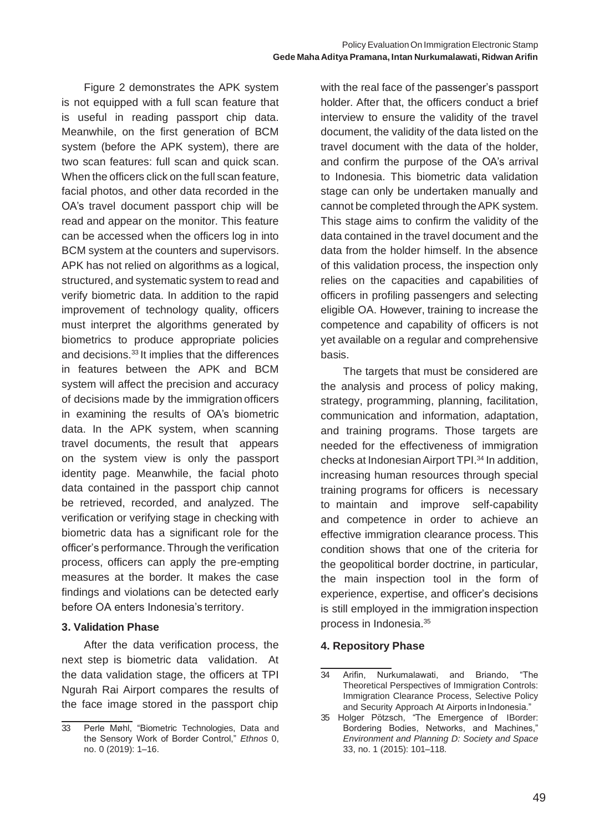Figure 2 demonstrates the APK system is not equipped with a full scan feature that is useful in reading passport chip data. Meanwhile, on the first generation of BCM system (before the APK system), there are two scan features: full scan and quick scan. When the officers click on the full scan feature, facial photos, and other data recorded in the OA's travel document passport chip will be read and appear on the monitor. This feature can be accessed when the officers log in into BCM system at the counters and supervisors. APK has not relied on algorithms as a logical, structured, and systematic system to read and verify biometric data. In addition to the rapid improvement of technology quality, officers must interpret the algorithms generated by biometrics to produce appropriate policies and decisions.<sup>33</sup> It implies that the differences in features between the APK and BCM system will affect the precision and accuracy of decisions made by the immigration officers in examining the results of OA's biometric data. In the APK system, when scanning travel documents, the result that appears on the system view is only the passport identity page. Meanwhile, the facial photo data contained in the passport chip cannot be retrieved, recorded, and analyzed. The verification or verifying stage in checking with biometric data has a significant role for the officer's performance. Through the verification process, officers can apply the pre-empting measures at the border. It makes the case findings and violations can be detected early before OA enters Indonesia's territory.

#### **3. Validation Phase**

After the data verification process, the next step is biometric data validation. At the data validation stage, the officers at TPI Ngurah Rai Airport compares the results of the face image stored in the passport chip with the real face of the passenger's passport holder. After that, the officers conduct a brief interview to ensure the validity of the travel document, the validity of the data listed on the travel document with the data of the holder, and confirm the purpose of the OA's arrival to Indonesia. This biometric data validation stage can only be undertaken manually and cannot be completed through theAPK system. This stage aims to confirm the validity of the data contained in the travel document and the data from the holder himself. In the absence of this validation process, the inspection only relies on the capacities and capabilities of officers in profiling passengers and selecting eligible OA. However, training to increase the competence and capability of officers is not yet available on a regular and comprehensive basis.

The targets that must be considered are the analysis and process of policy making, strategy, programming, planning, facilitation, communication and information, adaptation, and training programs. Those targets are needed for the effectiveness of immigration checks at IndonesianAirport TPI.<sup>34</sup> In addition, increasing human resources through special training programs for officers is necessary to maintain and improve self-capability and competence in order to achieve an effective immigration clearance process. This condition shows that one of the criteria for the geopolitical border doctrine, in particular, the main inspection tool in the form of experience, expertise, and officer's decisions is still employed in the immigration inspection process in Indonesia.<sup>35</sup>

#### **4. Repository Phase**

<sup>33</sup> Perle Møhl, "Biometric Technologies, Data and the Sensory Work of Border Control," *Ethnos* 0, no. 0 (2019): 1–16.

<sup>34</sup> Arifin, Nurkumalawati, and Briando, "The Theoretical Perspectives of Immigration Controls: Immigration Clearance Process, Selective Policy and Security Approach At Airports in Indonesia."

<sup>35</sup> Holger Pötzsch, "The Emergence of IBorder: Bordering Bodies, Networks, and Machines," *Environment and Planning D: Society and Space*  33, no. 1 (2015): 101–118.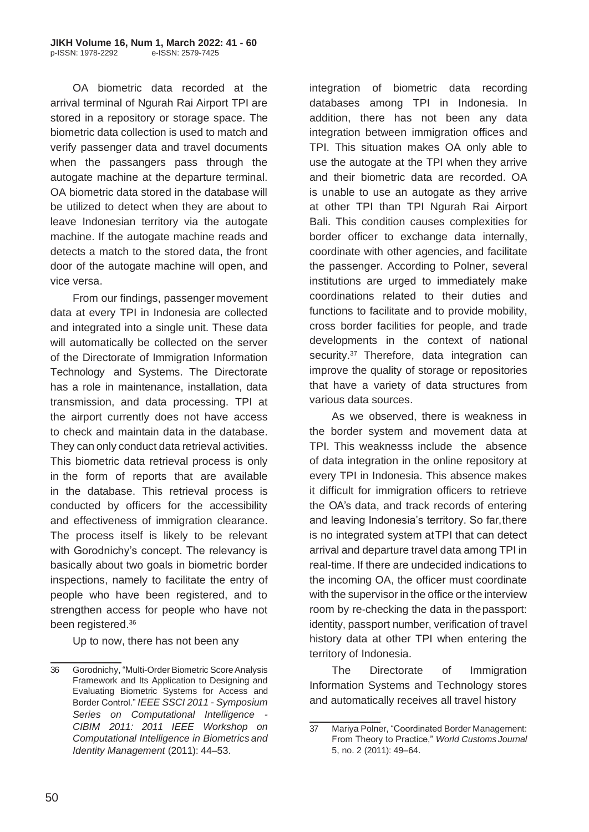OA biometric data recorded at the arrival terminal of Ngurah Rai Airport TPI are stored in a repository or storage space. The biometric data collection is used to match and verify passenger data and travel documents when the passangers pass through the autogate machine at the departure terminal. OA biometric data stored in the database will be utilized to detect when they are about to leave Indonesian territory via the autogate machine. If the autogate machine reads and detects a match to the stored data, the front door of the autogate machine will open, and vice versa.

From our findings, passenger movement data at every TPI in Indonesia are collected and integrated into a single unit. These data will automatically be collected on the server of the Directorate of Immigration Information Technology and Systems. The Directorate has a role in maintenance, installation, data transmission, and data processing. TPI at the airport currently does not have access to check and maintain data in the database. They can only conduct data retrieval activities. This biometric data retrieval process is only in the form of reports that are available in the database. This retrieval process is conducted by officers for the accessibility and effectiveness of immigration clearance. The process itself is likely to be relevant with Gorodnichy's concept. The relevancy is basically about two goals in biometric border inspections, namely to facilitate the entry of people who have been registered, and to strengthen access for people who have not been registered.<sup>36</sup>

Up to now, there has not been any

integration of biometric data recording databases among TPI in Indonesia. In addition, there has not been any data integration between immigration offices and TPI. This situation makes OA only able to use the autogate at the TPI when they arrive and their biometric data are recorded. OA is unable to use an autogate as they arrive at other TPI than TPI Ngurah Rai Airport Bali. This condition causes complexities for border officer to exchange data internally, coordinate with other agencies, and facilitate the passenger. According to Polner, several institutions are urged to immediately make coordinations related to their duties and functions to facilitate and to provide mobility, cross border facilities for people, and trade developments in the context of national security.<sup>37</sup> Therefore, data integration can improve the quality of storage or repositories that have a variety of data structures from various data sources.

As we observed, there is weakness in the border system and movement data at TPI. This weaknesss include the absence of data integration in the online repository at every TPI in Indonesia. This absence makes it difficult for immigration officers to retrieve the OA's data, and track records of entering and leaving Indonesia's territory. So far,there is no integrated system atTPI that can detect arrival and departure travel data among TPI in real-time. If there are undecided indications to the incoming OA, the officer must coordinate with the supervisor in the office or the interview room by re-checking the data in thepassport: identity, passport number, verification of travel history data at other TPI when entering the territory of Indonesia.

The Directorate of Immigration Information Systems and Technology stores and automatically receives all travel history

<sup>36</sup> Gorodnichy, "Multi-Order Biometric ScoreAnalysis Framework and Its Application to Designing and Evaluating Biometric Systems for Access and Border Control." *IEEE SSCI 2011- Symposium Series on Computational Intelligence - CIBIM 2011: 2011 IEEE Workshop on Computational Intelligence in Biometricsand Identity Management* (2011): 44–53.

<sup>37</sup> Mariya Polner, "Coordinated Border Management: From Theory to Practice," *World Customs Journal*  5, no. 2 (2011): 49–64.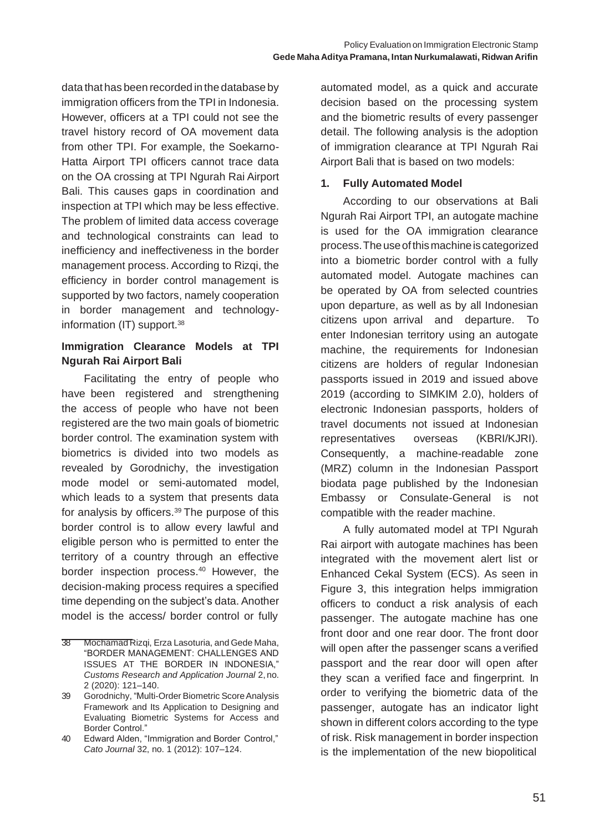data that has been recorded in the database by immigration officers from the TPI in Indonesia. However, officers at a TPI could not see the travel history record of OA movement data from other TPI. For example, the Soekarno-Hatta Airport TPI officers cannot trace data on the OA crossing at TPI Ngurah Rai Airport Bali. This causes gaps in coordination and inspection at TPI which may be less effective. The problem of limited data access coverage and technological constraints can lead to inefficiency and ineffectiveness in the border management process. According to Rizqi, the efficiency in border control management is supported by two factors, namely cooperation in border management and technologyinformation (IT) support.<sup>38</sup>

### **Immigration Clearance Models at TPI Ngurah Rai Airport Bali**

Facilitating the entry of people who have been registered and strengthening the access of people who have not been registered are the two main goals of biometric border control. The examination system with biometrics is divided into two models as revealed by Gorodnichy, the investigation mode model or semi-automated model, which leads to a system that presents data for analysis by officers.<sup>39</sup>The purpose of this border control is to allow every lawful and eligible person who is permitted to enter the territory of a country through an effective border inspection process.<sup>40</sup> However, the decision-making process requires a specified time depending on the subject's data. Another model is the access/ border control or fully

automated model, as a quick and accurate decision based on the processing system and the biometric results of every passenger detail. The following analysis is the adoption of immigration clearance at TPI Ngurah Rai Airport Bali that is based on two models:

### **1. Fully Automated Model**

According to our observations at Bali Ngurah Rai Airport TPI, an autogate machine is used for the OA immigration clearance process. The use of this machine is categorized into a biometric border control with a fully automated model. Autogate machines can be operated by OA from selected countries upon departure, as well as by all Indonesian citizens upon arrival and departure. To enter Indonesian territory using an autogate machine, the requirements for Indonesian citizens are holders of regular Indonesian passports issued in 2019 and issued above 2019 (according to SIMKIM 2.0), holders of electronic Indonesian passports, holders of travel documents not issued at Indonesian representatives overseas (KBRI/KJRI). Consequently, a machine-readable zone (MRZ) column in the Indonesian Passport biodata page published by the Indonesian Embassy or Consulate-General is not compatible with the reader machine.

A fully automated model at TPI Ngurah Rai airport with autogate machines has been integrated with the movement alert list or Enhanced Cekal System (ECS). As seen in Figure 3, this integration helps immigration officers to conduct a risk analysis of each passenger. The autogate machine has one front door and one rear door. The front door will open after the passenger scans a verified passport and the rear door will open after they scan a verified face and fingerprint. In order to verifying the biometric data of the passenger, autogate has an indicator light shown in different colors according to the type of risk. Risk management in border inspection is the implementation of the new biopolitical

<sup>38</sup> Mochamad Rizqi, Erza Lasoturia, and Gede Maha, "BORDER MANAGEMENT: CHALLENGES AND ISSUES AT THE BORDER IN INDONESIA," *Customs Research and Application Journal* 2, no. 2 (2020): 121–140.

<sup>39</sup> Gorodnichy, "Multi-Order Biometric ScoreAnalysis Framework and Its Application to Designing and Evaluating Biometric Systems for Access and Border Control."

<sup>40</sup> Edward Alden, "Immigration and Border Control," *Cato Journal* 32, no. 1 (2012): 107–124.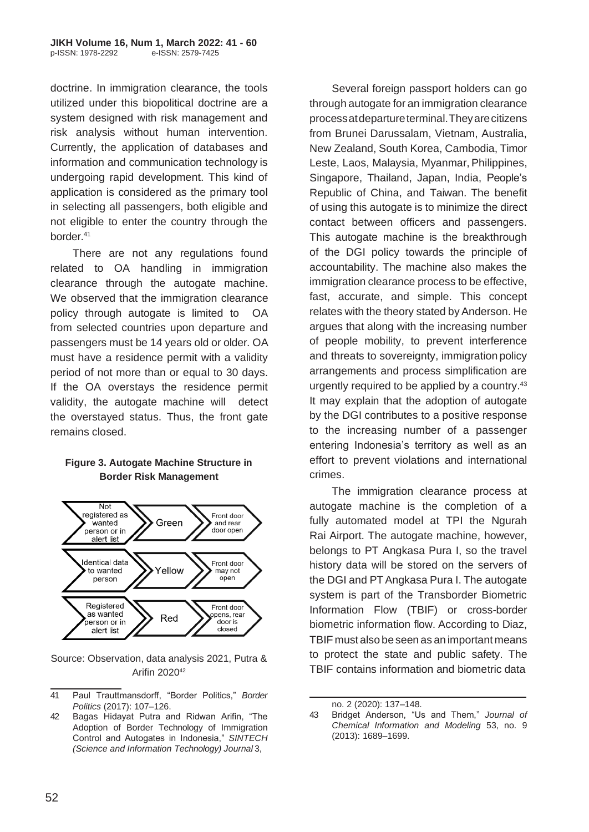doctrine. In immigration clearance, the tools utilized under this biopolitical doctrine are a system designed with risk management and risk analysis without human intervention. Currently, the application of databases and information and communication technology is undergoing rapid development. This kind of application is considered as the primary tool in selecting all passengers, both eligible and not eligible to enter the country through the border.<sup>41</sup>

There are not any regulations found related to OA handling in immigration clearance through the autogate machine. We observed that the immigration clearance policy through autogate is limited to OA from selected countries upon departure and passengers must be 14 years old or older. OA must have a residence permit with a validity period of not more than or equal to 30 days. If the OA overstays the residence permit validity, the autogate machine will detect the overstayed status. Thus, the front gate remains closed.

#### **Figure 3. Autogate Machine Structure in Border Risk Management**



Source: Observation, data analysis 2021, Putra & Arifin 2020<sup>42</sup>

41 Paul Trauttmansdorff, "Border Politics," *Border Politics* (2017): 107–126.

Several foreign passport holders can go through autogate for an immigration clearance processatdepartureterminal.Theyarecitizens from Brunei Darussalam, Vietnam, Australia, New Zealand, South Korea, Cambodia, Timor Leste, Laos, Malaysia, Myanmar, Philippines, Singapore, Thailand, Japan, India, People's Republic of China, and Taiwan. The benefit of using this autogate is to minimize the direct contact between officers and passengers. This autogate machine is the breakthrough of the DGI policy towards the principle of accountability. The machine also makes the immigration clearance process to be effective, fast, accurate, and simple. This concept relates with the theory stated by Anderson. He argues that along with the increasing number of people mobility, to prevent interference and threats to sovereignty, immigration policy arrangements and process simplification are urgently required to be applied by a country.<sup>43</sup> It may explain that the adoption of autogate by the DGI contributes to a positive response to the increasing number of a passenger entering Indonesia's territory as well as an effort to prevent violations and international crimes.

The immigration clearance process at autogate machine is the completion of a fully automated model at TPI the Ngurah Rai Airport. The autogate machine, however, belongs to PT Angkasa Pura I, so the travel history data will be stored on the servers of the DGI and PTAngkasa Pura I. The autogate system is part of the Transborder Biometric Information Flow (TBIF) or cross-border biometric information flow. According to Diaz, TBIF must also beseen as an important means to protect the state and public safety. The TBIF contains information and biometric data

<sup>42</sup> Bagas Hidayat Putra and Ridwan Arifin, "The Adoption of Border Technology of Immigration Control and Autogates in Indonesia," *SINTECH (Science and Information Technology) Journal* 3,

no. 2 (2020): 137–148.

<sup>43</sup> Bridget Anderson, "Us and Them," *Journal of Chemical Information and Modeling* 53, no. 9 (2013): 1689–1699.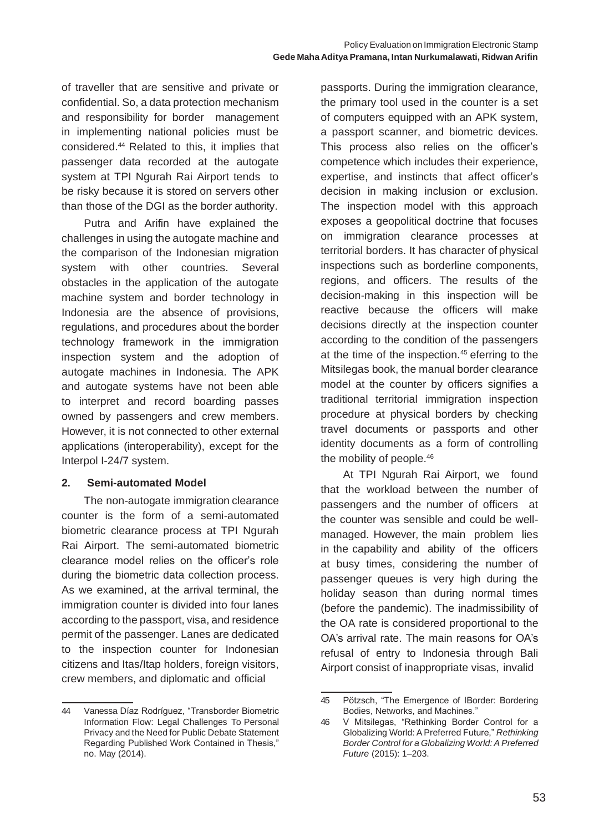of traveller that are sensitive and private or confidential. So, a data protection mechanism and responsibility for border management in implementing national policies must be considered.<sup>44</sup> Related to this, it implies that passenger data recorded at the autogate system at TPI Ngurah Rai Airport tends to be risky because it is stored on servers other than those of the DGI as the border authority.

Putra and Arifin have explained the challenges in using the autogate machine and the comparison of the Indonesian migration system with other countries. Several obstacles in the application of the autogate machine system and border technology in Indonesia are the absence of provisions, regulations, and procedures about the border technology framework in the immigration inspection system and the adoption of autogate machines in Indonesia. The APK and autogate systems have not been able to interpret and record boarding passes owned by passengers and crew members. However, it is not connected to other external applications (interoperability), except for the Interpol I-24/7 system.

### **2. Semi-automated Model**

The non-autogate immigration clearance counter is the form of a semi-automated biometric clearance process at TPI Ngurah Rai Airport. The semi-automated biometric clearance model relies on the officer's role during the biometric data collection process. As we examined, at the arrival terminal, the immigration counter is divided into four lanes according to the passport, visa, and residence permit of the passenger. Lanes are dedicated to the inspection counter for Indonesian citizens and Itas/Itap holders, foreign visitors, crew members, and diplomatic and official

passports. During the immigration clearance, the primary tool used in the counter is a set of computers equipped with an APK system, a passport scanner, and biometric devices. This process also relies on the officer's competence which includes their experience, expertise, and instincts that affect officer's decision in making inclusion or exclusion. The inspection model with this approach exposes a geopolitical doctrine that focuses on immigration clearance processes at territorial borders. It has character of physical inspections such as borderline components, regions, and officers. The results of the decision-making in this inspection will be reactive because the officers will make decisions directly at the inspection counter according to the condition of the passengers at the time of the inspection.<sup>45</sup> eferring to the Mitsilegas book, the manual border clearance model at the counter by officers signifies a traditional territorial immigration inspection procedure at physical borders by checking travel documents or passports and other identity documents as a form of controlling the mobility of people.<sup>46</sup>

At TPI Ngurah Rai Airport, we found that the workload between the number of passengers and the number of officers at the counter was sensible and could be wellmanaged. However, the main problem lies in the capability and ability of the officers at busy times, considering the number of passenger queues is very high during the holiday season than during normal times (before the pandemic). The inadmissibility of the OA rate is considered proportional to the OA's arrival rate. The main reasons for OA's refusal of entry to Indonesia through Bali Airport consist of inappropriate visas, invalid

<sup>44</sup> Vanessa Díaz Rodríguez, "Transborder Biometric Information Flow: Legal Challenges To Personal Privacy and the Need for Public Debate Statement Regarding Published Work Contained in Thesis," no. May (2014).

<sup>45</sup> Pötzsch, "The Emergence of IBorder: Bordering Bodies, Networks, and Machines."

<sup>46</sup> V Mitsilegas, "Rethinking Border Control for a Globalizing World: A Preferred Future," *Rethinking Border Control for a Globalizing World:A Preferred Future* (2015): 1–203.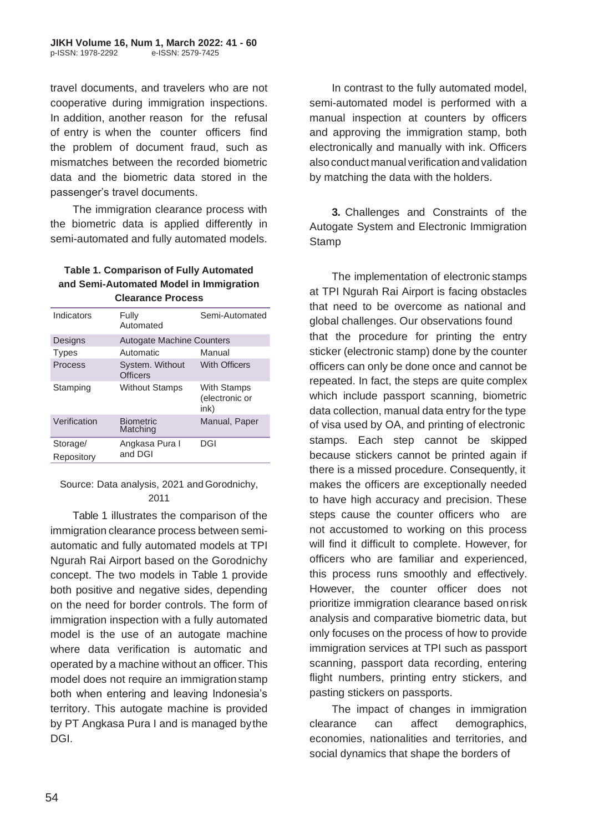travel documents, and travelers who are not cooperative during immigration inspections. In addition, another reason for the refusal of entry is when the counter officers find the problem of document fraud, such as mismatches between the recorded biometric data and the biometric data stored in the passenger's travel documents.

The immigration clearance process with the biometric data is applied differently in semi-automated and fully automated models.

#### **Table 1. Comparison of Fully Automated and Semi-Automated Model in Immigration Clearance Process**

| Indicators   | Fully<br>Automated                 | Semi-Automated                               |
|--------------|------------------------------------|----------------------------------------------|
| Designs      | <b>Autogate Machine Counters</b>   |                                              |
| <b>Types</b> | Automatic                          | Manual                                       |
| Process      | System. Without<br><b>Officers</b> | <b>With Officers</b>                         |
| Stamping     | <b>Without Stamps</b>              | <b>With Stamps</b><br>(electronic or<br>ink) |
| Verification | <b>Biometric</b><br>Matching       | Manual, Paper                                |
| Storage/     | Angkasa Pura I<br>and DGI          | DGI                                          |
| Repository   |                                    |                                              |

### Source: Data analysis, 2021 and Gorodnichy, 2011

Table 1 illustrates the comparison of the immigration clearance process between semiautomatic and fully automated models at TPI Ngurah Rai Airport based on the Gorodnichy concept. The two models in Table 1 provide both positive and negative sides, depending on the need for border controls. The form of immigration inspection with a fully automated model is the use of an autogate machine where data verification is automatic and operated by a machine without an officer. This model does not require an immigration stamp both when entering and leaving Indonesia's territory. This autogate machine is provided by PT Angkasa Pura I and is managed bythe DGI.

In contrast to the fully automated model, semi-automated model is performed with a manual inspection at counters by officers and approving the immigration stamp, both electronically and manually with ink. Officers alsoconduct manual verification andvalidation by matching the data with the holders.

**3.** Challenges and Constraints of the Autogate System and Electronic Immigration **Stamp** 

The implementation of electronic stamps at TPI Ngurah Rai Airport is facing obstacles that need to be overcome as national and global challenges. Our observations found that the procedure for printing the entry sticker (electronic stamp) done by the counter officers can only be done once and cannot be repeated. In fact, the steps are quite complex which include passport scanning, biometric data collection, manual data entry for the type of visa used by OA, and printing of electronic stamps. Each step cannot be skipped because stickers cannot be printed again if there is a missed procedure. Consequently, it makes the officers are exceptionally needed to have high accuracy and precision. These steps cause the counter officers who are not accustomed to working on this process will find it difficult to complete. However, for officers who are familiar and experienced, this process runs smoothly and effectively. However, the counter officer does not prioritize immigration clearance based onrisk analysis and comparative biometric data, but only focuses on the process of how to provide immigration services at TPI such as passport scanning, passport data recording, entering flight numbers, printing entry stickers, and pasting stickers on passports.

The impact of changes in immigration clearance can affect demographics, economies, nationalities and territories, and social dynamics that shape the borders of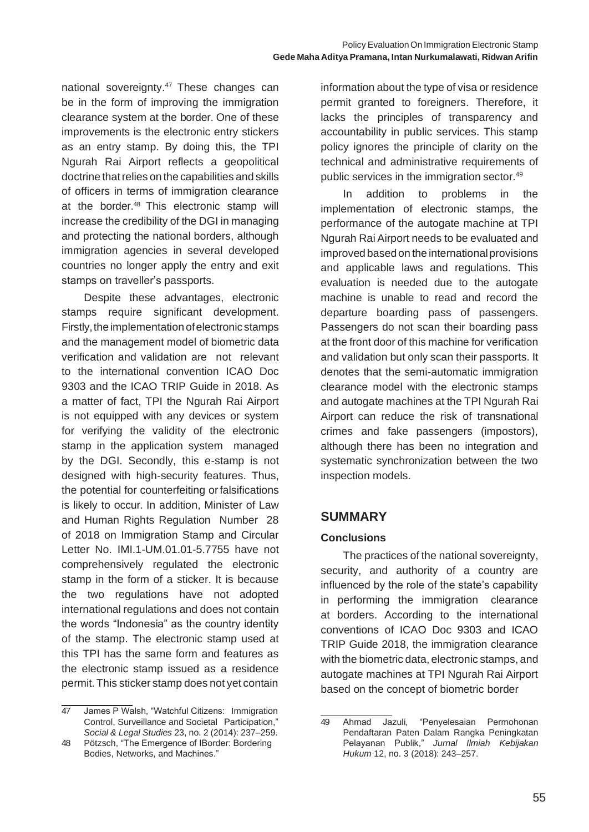national sovereignty.<sup>47</sup> These changes can be in the form of improving the immigration clearance system at the border. One of these improvements is the electronic entry stickers as an entry stamp. By doing this, the TPI Ngurah Rai Airport reflects a geopolitical doctrine that relies on the capabilities and skills of officers in terms of immigration clearance at the border.<sup>48</sup> This electronic stamp will increase the credibility of the DGI in managing and protecting the national borders, although immigration agencies in several developed countries no longer apply the entry and exit stamps on traveller's passports.

Despite these advantages, electronic stamps require significant development. Firstly, the implementation of electronic stamps and the management model of biometric data verification and validation are not relevant to the international convention ICAO Doc 9303 and the ICAO TRIP Guide in 2018. As a matter of fact, TPI the Ngurah Rai Airport is not equipped with any devices or system for verifying the validity of the electronic stamp in the application system managed by the DGI. Secondly, this e-stamp is not designed with high-security features. Thus, the potential for counterfeiting orfalsifications is likely to occur. In addition, Minister of Law and Human Rights Regulation Number 28 of 2018 on Immigration Stamp and Circular Letter No. IMI.1-UM.01.01-5.7755 have not comprehensively regulated the electronic stamp in the form of a sticker. It is because the two regulations have not adopted international regulations and does not contain the words "Indonesia" as the country identity of the stamp. The electronic stamp used at this TPI has the same form and features as the electronic stamp issued as a residence permit.This sticker stamp does not yet contain

information about the type of visa or residence permit granted to foreigners. Therefore, it lacks the principles of transparency and accountability in public services. This stamp policy ignores the principle of clarity on the technical and administrative requirements of public services in the immigration sector.<sup>49</sup>

In addition to problems in the implementation of electronic stamps, the performance of the autogate machine at TPI Ngurah Rai Airport needs to be evaluated and improved based on the international provisions and applicable laws and regulations. This evaluation is needed due to the autogate machine is unable to read and record the departure boarding pass of passengers. Passengers do not scan their boarding pass at the front door of this machine for verification and validation but only scan their passports. It denotes that the semi-automatic immigration clearance model with the electronic stamps and autogate machines at the TPI Ngurah Rai Airport can reduce the risk of transnational crimes and fake passengers (impostors), although there has been no integration and systematic synchronization between the two inspection models.

### **SUMMARY**

### **Conclusions**

The practices of the national sovereignty, security, and authority of a country are influenced by the role of the state's capability in performing the immigration clearance at borders. According to the international conventions of ICAO Doc 9303 and ICAO TRIP Guide 2018, the immigration clearance with the biometric data, electronic stamps, and autogate machines at TPI Ngurah Rai Airport based on the concept of biometric border

<sup>47</sup> James P Walsh, "Watchful Citizens: Immigration Control, Surveillance and Societal Participation," *Social & Legal Studies* 23, no. 2 (2014): 237–259.

<sup>48</sup> Pötzsch, "The Emergence of IBorder: Bordering Bodies, Networks, and Machines."

<sup>49</sup> Ahmad Jazuli, "Penyelesaian Permohonan Pendaftaran Paten Dalam Rangka Peningkatan Pelayanan Publik," *Jurnal Ilmiah Kebijakan Hukum* 12, no. 3 (2018): 243–257.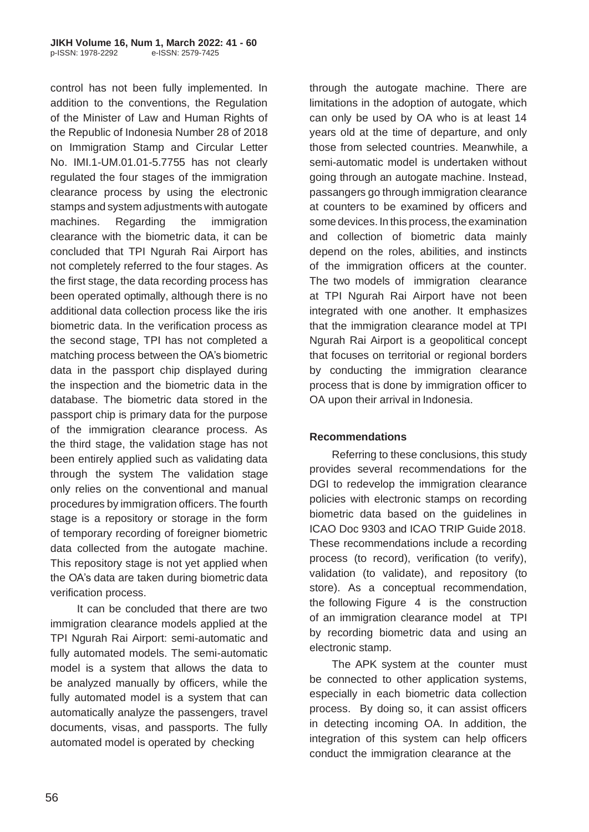control has not been fully implemented. In addition to the conventions, the Regulation of the Minister of Law and Human Rights of the Republic of Indonesia Number 28 of 2018 on Immigration Stamp and Circular Letter No. IMI.1-UM.01.01-5.7755 has not clearly regulated the four stages of the immigration clearance process by using the electronic stamps and system adjustments with autogate machines. Regarding the immigration clearance with the biometric data, it can be concluded that TPI Ngurah Rai Airport has not completely referred to the four stages. As the first stage, the data recording process has been operated optimally, although there is no additional data collection process like the iris biometric data. In the verification process as the second stage, TPI has not completed a matching process between the OA's biometric data in the passport chip displayed during the inspection and the biometric data in the database. The biometric data stored in the passport chip is primary data for the purpose of the immigration clearance process. As the third stage, the validation stage has not been entirely applied such as validating data through the system The validation stage only relies on the conventional and manual procedures by immigration officers. The fourth stage is a repository or storage in the form of temporary recording of foreigner biometric data collected from the autogate machine. This repository stage is not yet applied when the OA's data are taken during biometric data verification process.

It can be concluded that there are two immigration clearance models applied at the TPI Ngurah Rai Airport: semi-automatic and fully automated models. The semi-automatic model is a system that allows the data to be analyzed manually by officers, while the fully automated model is a system that can automatically analyze the passengers, travel documents, visas, and passports. The fully automated model is operated by checking

through the autogate machine. There are limitations in the adoption of autogate, which can only be used by OA who is at least 14 years old at the time of departure, and only those from selected countries. Meanwhile, a semi-automatic model is undertaken without going through an autogate machine. Instead, passangers go through immigration clearance at counters to be examined by officers and some devices. In this process, the examination and collection of biometric data mainly depend on the roles, abilities, and instincts of the immigration officers at the counter. The two models of immigration clearance at TPI Ngurah Rai Airport have not been integrated with one another. It emphasizes that the immigration clearance model at TPI Ngurah Rai Airport is a geopolitical concept that focuses on territorial or regional borders by conducting the immigration clearance process that is done by immigration officer to OA upon their arrival in Indonesia.

#### **Recommendations**

Referring to these conclusions, this study provides several recommendations for the DGI to redevelop the immigration clearance policies with electronic stamps on recording biometric data based on the guidelines in ICAO Doc 9303 and ICAO TRIP Guide 2018. These recommendations include a recording process (to record), verification (to verify), validation (to validate), and repository (to store). As a conceptual recommendation, the following Figure 4 is the construction of an immigration clearance model at TPI by recording biometric data and using an electronic stamp.

The APK system at the counter must be connected to other application systems, especially in each biometric data collection process. By doing so, it can assist officers in detecting incoming OA. In addition, the integration of this system can help officers conduct the immigration clearance at the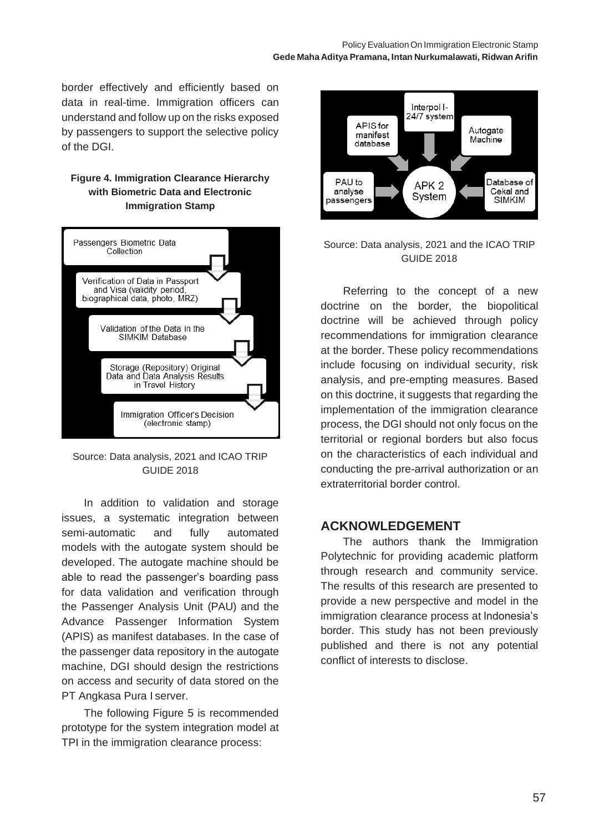border effectively and efficiently based on data in real-time. Immigration officers can understand and follow up on the risks exposed by passengers to support the selective policy of the DGI.

### **Figure 4. Immigration Clearance Hierarchy with Biometric Data and Electronic Immigration Stamp**



Source: Data analysis, 2021 and ICAO TRIP GUIDE 2018

In addition to validation and storage issues, a systematic integration between semi-automatic and fully automated models with the autogate system should be developed. The autogate machine should be able to read the passenger's boarding pass for data validation and verification through the Passenger Analysis Unit (PAU) and the Advance Passenger Information System (APIS) as manifest databases. In the case of the passenger data repository in the autogate machine, DGI should design the restrictions on access and security of data stored on the PT Angkasa Pura I server.

The following Figure 5 is recommended prototype for the system integration model at TPI in the immigration clearance process:



### Source: Data analysis, 2021 and the ICAO TRIP GUIDE 2018

Referring to the concept of a new doctrine on the border, the biopolitical doctrine will be achieved through policy recommendations for immigration clearance at the border. These policy recommendations include focusing on individual security, risk analysis, and pre-empting measures. Based on this doctrine, it suggests that regarding the implementation of the immigration clearance process, the DGI should not only focus on the territorial or regional borders but also focus on the characteristics of each individual and conducting the pre-arrival authorization or an extraterritorial border control.

## **ACKNOWLEDGEMENT**

The authors thank the Immigration Polytechnic for providing academic platform through research and community service. The results of this research are presented to provide a new perspective and model in the immigration clearance process at Indonesia's border. This study has not been previously published and there is not any potential conflict of interests to disclose.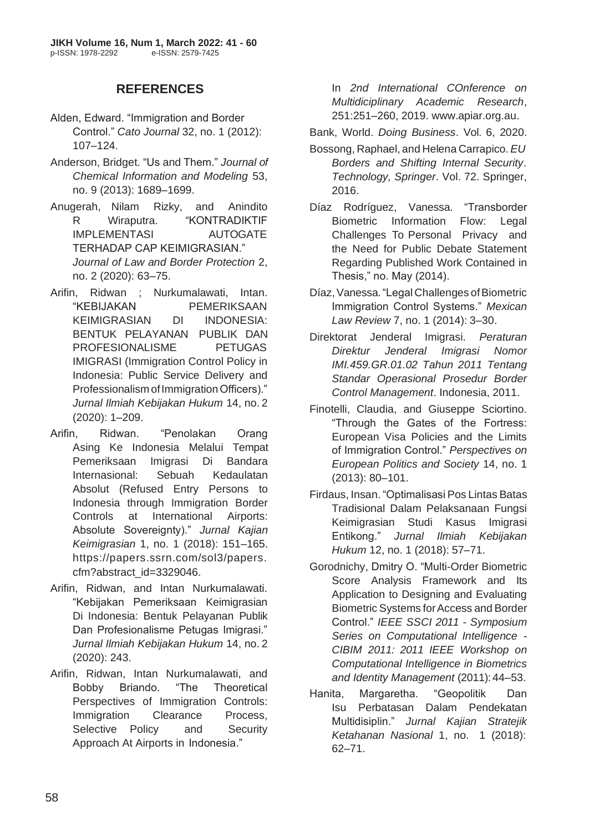## **REFERENCES**

- Alden, Edward. "Immigration and Border Control." *Cato Journal* 32, no. 1 (2012): 107–124.
- Anderson, Bridget. "Us and Them." *Journal of Chemical Information and Modeling* 53, no. 9 (2013): 1689–1699.
- Anugerah, Nilam Rizky, and Anindito R Wiraputra. "KONTRADIKTIF IMPLEMENTASI AUTOGATE TERHADAP CAP KEIMIGRASIAN." *Journal of Law and Border Protection* 2, no. 2 (2020): 63–75.
- Arifin, Ridwan ; Nurkumalawati, Intan. "KEBIJAKAN PEMERIKSAAN KEIMIGRASIAN DI INDONESIA: BENTUK PELAYANAN PUBLIK DAN PROFESIONALISME PETUGAS IMIGRASI (Immigration Control Policy in Indonesia: Public Service Delivery and Professionalism of Immigration Officers)." *Jurnal Ilmiah Kebijakan Hukum* 14, no. 2 (2020): 1–209.
- Arifin, Ridwan. "Penolakan Orang Asing Ke Indonesia Melalui Tempat Pemeriksaan Imigrasi Di Bandara Internasional: Sebuah Kedaulatan Absolut (Refused Entry Persons to Indonesia through Immigration Border Controls at International Airports: Absolute Sovereignty)." *Jurnal Kajian Keimigrasian* 1, no. 1 (2018): 151–165. https://papers.ssrn.com/sol3/papers. cfm?abstract\_id=3329046.
- Arifin, Ridwan, and Intan Nurkumalawati. "Kebijakan Pemeriksaan Keimigrasian Di Indonesia: Bentuk Pelayanan Publik Dan Profesionalisme Petugas Imigrasi." *Jurnal Ilmiah Kebijakan Hukum* 14, no. 2 (2020): 243.
- Arifin, Ridwan, Intan Nurkumalawati, and Bobby Briando. "The Theoretical Perspectives of Immigration Controls: Immigration Clearance Process, Selective Policy and Security Approach At Airports in Indonesia."

In *2nd International COnference on Multidiciplinary Academic Research*, 251:251–260, 2019. [www.apiar.org.au.](http://www.apiar.org.au/)

Bank, World. *Doing Business*. Vol. 6, 2020.

- Bossong, Raphael, and Helena Carrapico.*EU Borders and Shifting Internal Security*. *Technology, Springer*. Vol. 72. Springer, 2016.
- Díaz Rodríguez, Vanessa. "Transborder Biometric Information Flow: Legal Challenges To Personal Privacy and the Need for Public Debate Statement Regarding Published Work Contained in Thesis," no. May (2014).
- Díaz, Vanessa. "Legal Challenges of Biometric Immigration Control Systems." *Mexican Law Review* 7, no. 1 (2014): 3–30.
- Direktorat Jenderal Imigrasi. *Peraturan Direktur Jenderal Imigrasi Nomor IMI.459.GR.01.02 Tahun 2011 Tentang Standar Operasional Prosedur Border Control Management*. Indonesia, 2011.
- Finotelli, Claudia, and Giuseppe Sciortino. "Through the Gates of the Fortress: European Visa Policies and the Limits of Immigration Control." *Perspectives on European Politics and Society* 14, no. 1 (2013): 80–101.
- Firdaus, Insan. "Optimalisasi Pos Lintas Batas Tradisional Dalam Pelaksanaan Fungsi Keimigrasian Studi Kasus Imigrasi Entikong." *Jurnal Ilmiah Kebijakan Hukum* 12, no. 1 (2018): 57–71.
- Gorodnichy, Dmitry O. "Multi-Order Biometric Score Analysis Framework and Its Application to Designing and Evaluating Biometric Systems forAccess and Border Control." *IEEE SSCI 2011 - Symposium Series on Computational Intelligence - CIBIM 2011: 2011 IEEE Workshop on Computational Intelligence in Biometrics and Identity Management* (2011): 44–53.
- Hanita, Margaretha. "Geopolitik Dan Isu Perbatasan Dalam Pendekatan Multidisiplin." *Jurnal Kajian Stratejik Ketahanan Nasional* 1, no. 1 (2018): 62–71.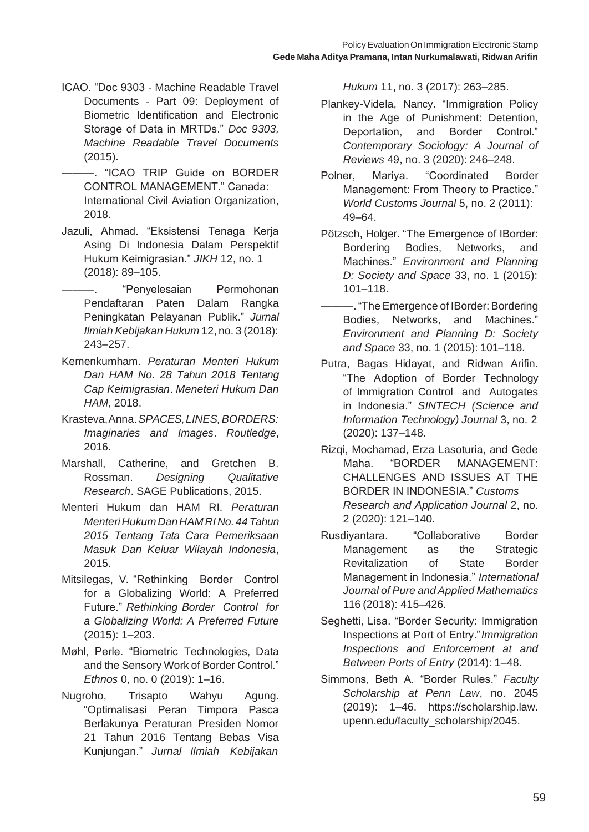- ICAO. "Doc 9303 Machine Readable Travel Documents - Part 09: Deployment of Biometric Identification and Electronic Storage of Data in MRTDs." *Doc 9303, Machine Readable Travel Documents*  (2015).
- ———. "ICAO TRIP Guide on BORDER CONTROL MANAGEMENT." Canada: International Civil Aviation Organization, 2018.
- Jazuli, Ahmad. "Eksistensi Tenaga Kerja Asing Di Indonesia Dalam Perspektif Hukum Keimigrasian." *JIKH* 12, no. 1 (2018): 89–105.
	- ———. "Penyelesaian Permohonan Pendaftaran Paten Dalam Rangka Peningkatan Pelayanan Publik." *Jurnal Ilmiah Kebijakan Hukum* 12, no. 3 (2018): 243–257.
- Kemenkumham. *Peraturan Menteri Hukum Dan HAM No. 28 Tahun 2018 Tentang Cap Keimigrasian*. *Meneteri Hukum Dan HAM*, 2018.
- Krasteva,Anna.*SPACES,LINES,BORDERS: Imaginaries and Images*. *Routledge*, 2016.
- Marshall, Catherine, and Gretchen B. Rossman. *Designing Qualitative Research*. SAGE Publications, 2015.
- Menteri Hukum dan HAM RI. *Peraturan MenteriHukumDanHAMRINo.44 Tahun 2015 Tentang Tata Cara Pemeriksaan Masuk Dan Keluar Wilayah Indonesia*, 2015.
- Mitsilegas, V. "Rethinking Border Control for a Globalizing World: A Preferred Future." *Rethinking Border Control for a Globalizing World: A Preferred Future*  (2015): 1–203.
- Møhl, Perle. "Biometric Technologies, Data and the Sensory Work of Border Control." *Ethnos* 0, no. 0 (2019): 1–16.
- Nugroho, Trisapto Wahyu Agung. "Optimalisasi Peran Timpora Pasca Berlakunya Peraturan Presiden Nomor 21 Tahun 2016 Tentang Bebas Visa Kunjungan." *Jurnal Ilmiah Kebijakan*

*Hukum* 11, no. 3 (2017): 263–285.

- Plankey-Videla, Nancy. "Immigration Policy in the Age of Punishment: Detention, Deportation, and Border Control." *Contemporary Sociology: A Journal of Reviews* 49, no. 3 (2020): 246–248.
- Polner, Mariya. "Coordinated Border Management: From Theory to Practice." *World Customs Journal* 5, no. 2 (2011): 49–64.
- Pötzsch, Holger. "The Emergence of IBorder: Bordering Bodies, Networks, and Machines." *Environment and Planning D: Society and Space* 33, no. 1 (2015): 101–118.
- $-$ . "The Emergence of IBorder: Bordering Bodies, Networks, and Machines." *Environment and Planning D: Society and Space* 33, no. 1 (2015): 101–118.
- Putra, Bagas Hidayat, and Ridwan Arifin. "The Adoption of Border Technology of Immigration Control and Autogates in Indonesia." *SINTECH (Science and Information Technology) Journal* 3, no. 2 (2020): 137–148.
- Rizqi, Mochamad, Erza Lasoturia, and Gede Maha. "BORDER MANAGEMENT: CHALLENGES AND ISSUES AT THE BORDER IN INDONESIA." *Customs Research and Application Journal* 2, no. 2 (2020): 121–140.
- Rusdiyantara. "Collaborative Border Management as the Strategic Revitalization of State Border Management in Indonesia." *International Journal of Pure and Applied Mathematics*  116 (2018): 415–426.
- Seghetti, Lisa. "Border Security: Immigration Inspections at Port of Entry."*Immigration Inspections and Enforcement at and Between Ports of Entry* (2014): 1–48.
- Simmons, Beth A. "Border Rules." *Faculty Scholarship at Penn Law*, no. 2045 (2019): 1–46. https://scholarship.law. upenn.edu/faculty\_scholarship/2045.